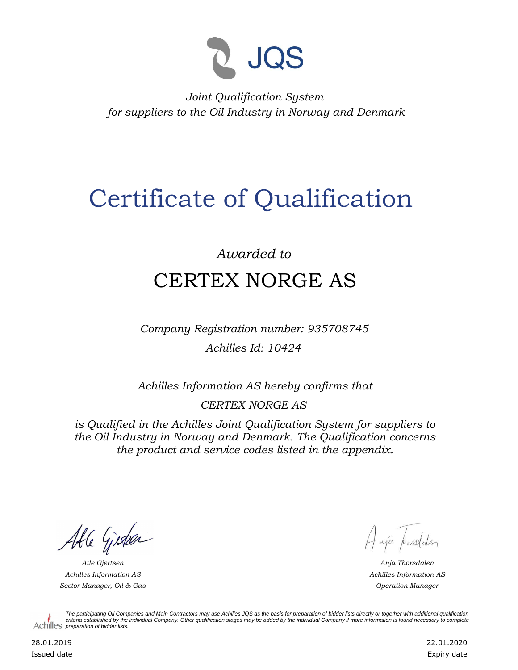

*Joint Qualification System for suppliers to the Oil Industry in Norway and Denmark*

## Certificate of Qualification

## *Awarded to* CERTEX NORGE AS

*Company Registration number: 935708745 Achilles Id: 10424*

*Achilles Information AS hereby confirms that*

*CERTEX NORGE AS*

*is Qualified in the Achilles Joint Qualification System for suppliers to the Oil Industry in Norway and Denmark. The Qualification concerns the product and service codes listed in the appendix.*

Able Gister

*Achilles Information AS Sector Manager, Oil & Gas Operation Manager*

Haya procedater

*Atle Gjertsen Anja Thorsdalen Achilles Information AS*

*The participating Oil Companies and Main Contractors may use Achilles JQS as the basis for preparation of bidder lists directly or together with additional qualification criteria established by the individual Company. Other qualification stages may be added by the individual Company if more information is found necessary to complete*  Achilles *preparation of bidder lists*.

28.01.2019 Issued date